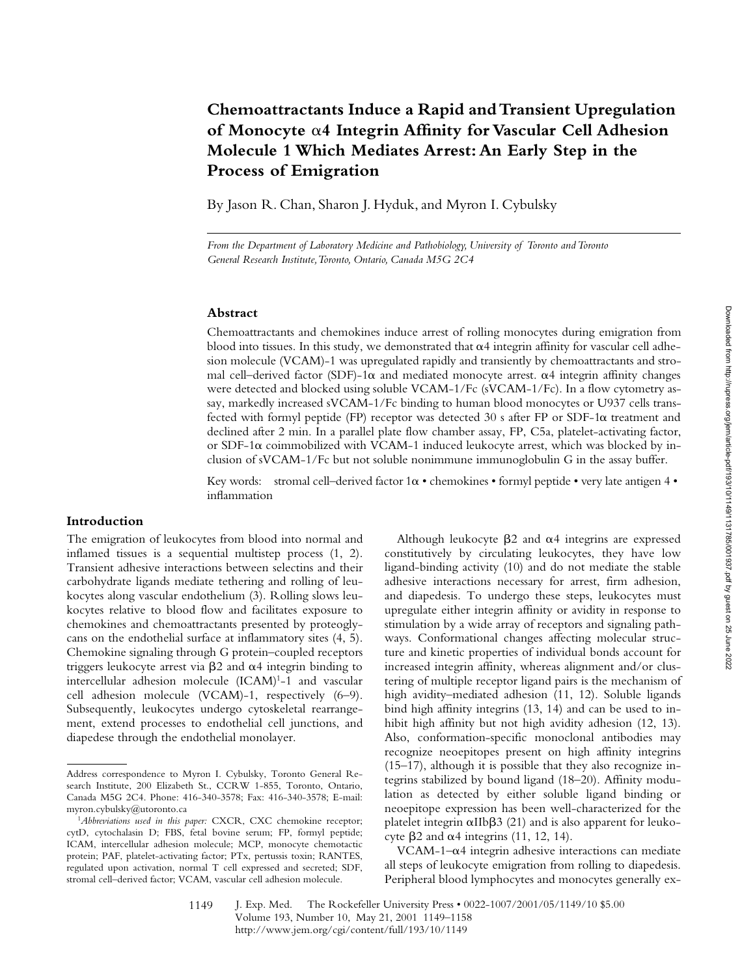# **Chemoattractants Induce a Rapid and Transient Upregulation of Monocyte** a**4 Integrin Affinity for Vascular Cell Adhesion Molecule 1 Which Mediates Arrest: An Early Step in the Process of Emigration**

By Jason R. Chan, Sharon J. Hyduk, and Myron I. Cybulsky

*From the Department of Laboratory Medicine and Pathobiology, University of Toronto and Toronto General Research Institute, Toronto, Ontario, Canada M5G 2C4*

## **Abstract**

Chemoattractants and chemokines induce arrest of rolling monocytes during emigration from blood into tissues. In this study, we demonstrated that  $\alpha$ 4 integrin affinity for vascular cell adhesion molecule (VCAM)-1 was upregulated rapidly and transiently by chemoattractants and stromal cell–derived factor (SDF)-1 $\alpha$  and mediated monocyte arrest.  $\alpha$ 4 integrin affinity changes were detected and blocked using soluble VCAM-1/Fc (sVCAM-1/Fc). In a flow cytometry assay, markedly increased sVCAM-1/Fc binding to human blood monocytes or U937 cells transfected with formyl peptide (FP) receptor was detected 30 s after FP or SDF-1 $\alpha$  treatment and declined after 2 min. In a parallel plate flow chamber assay, FP, C5a, platelet-activating factor, or SDF-1 $\alpha$  coimmobilized with VCAM-1 induced leukocyte arrest, which was blocked by inclusion of sVCAM-1/Fc but not soluble nonimmune immunoglobulin G in the assay buffer.

Key words: stromal cell–derived factor  $1\alpha \cdot$  chemokines  $\cdot$  formyl peptide  $\cdot$  very late antigen 4  $\cdot$ inflammation

# **Introduction**

The emigration of leukocytes from blood into normal and inflamed tissues is a sequential multistep process (1, 2). Transient adhesive interactions between selectins and their carbohydrate ligands mediate tethering and rolling of leukocytes along vascular endothelium (3). Rolling slows leukocytes relative to blood flow and facilitates exposure to chemokines and chemoattractants presented by proteoglycans on the endothelial surface at inflammatory sites (4, 5). Chemokine signaling through G protein–coupled receptors triggers leukocyte arrest via  $\beta$ 2 and  $\alpha$ 4 integrin binding to intercellular adhesion molecule (ICAM)<sup>1</sup>-1 and vascular cell adhesion molecule (VCAM)-1, respectively (6–9). Subsequently, leukocytes undergo cytoskeletal rearrangement, extend processes to endothelial cell junctions, and diapedese through the endothelial monolayer.

Although leukocyte  $\beta$ 2 and  $\alpha$ 4 integrins are expressed constitutively by circulating leukocytes, they have low ligand-binding activity (10) and do not mediate the stable adhesive interactions necessary for arrest, firm adhesion, and diapedesis. To undergo these steps, leukocytes must upregulate either integrin affinity or avidity in response to stimulation by a wide array of receptors and signaling pathways. Conformational changes affecting molecular structure and kinetic properties of individual bonds account for increased integrin affinity, whereas alignment and/or clustering of multiple receptor ligand pairs is the mechanism of high avidity–mediated adhesion (11, 12). Soluble ligands bind high affinity integrins (13, 14) and can be used to inhibit high affinity but not high avidity adhesion (12, 13). Also, conformation-specific monoclonal antibodies may recognize neoepitopes present on high affinity integrins (15–17), although it is possible that they also recognize integrins stabilized by bound ligand (18–20). Affinity modulation as detected by either soluble ligand binding or neoepitope expression has been well-characterized for the platelet integrin  $\alpha$ IIb $\beta$ 3 (21) and is also apparent for leukocyte  $\beta$ 2 and  $\alpha$ 4 integrins (11, 12, 14).

VCAM-1– $\alpha$ 4 integrin adhesive interactions can mediate all steps of leukocyte emigration from rolling to diapedesis. Peripheral blood lymphocytes and monocytes generally ex-

Address correspondence to Myron I. Cybulsky, Toronto General Research Institute, 200 Elizabeth St., CCRW 1-855, Toronto, Ontario, Canada M5G 2C4. Phone: 416-340-3578; Fax: 416-340-3578; E-mail: myron.cybulsky@utoronto.ca

<sup>1</sup>*Abbreviations used in this paper:* CXCR, CXC chemokine receptor; cytD, cytochalasin D; FBS, fetal bovine serum; FP, formyl peptide; ICAM, intercellular adhesion molecule; MCP, monocyte chemotactic protein; PAF, platelet-activating factor; PTx, pertussis toxin; RANTES, regulated upon activation, normal T cell expressed and secreted; SDF, stromal cell–derived factor; VCAM, vascular cell adhesion molecule.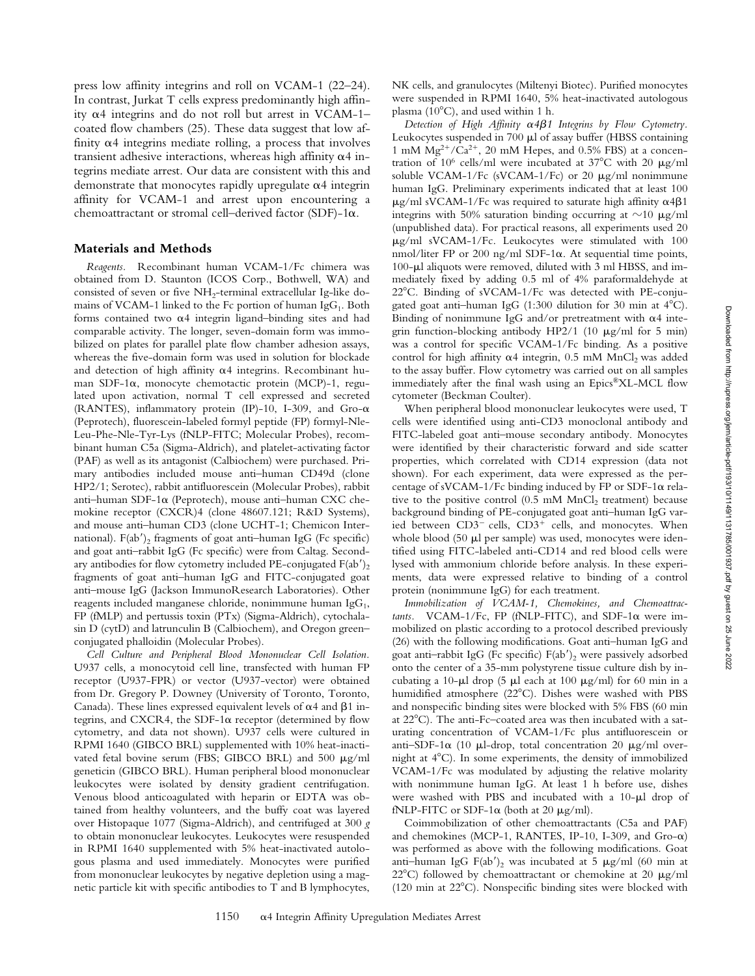press low affinity integrins and roll on VCAM-1 (22–24). In contrast, Jurkat T cells express predominantly high affinity  $\alpha$ 4 integrins and do not roll but arrest in VCAM-1– coated flow chambers (25). These data suggest that low affinity  $\alpha$ 4 integrins mediate rolling, a process that involves transient adhesive interactions, whereas high affinity  $\alpha$ 4 integrins mediate arrest. Our data are consistent with this and demonstrate that monocytes rapidly upregulate  $\alpha$ 4 integrin affinity for VCAM-1 and arrest upon encountering a chemoattractant or stromal cell–derived factor (SDF)-1 $\alpha$ .

## **Materials and Methods**

*Reagents.* Recombinant human VCAM-1/Fc chimera was obtained from D. Staunton (ICOS Corp., Bothwell, WA) and consisted of seven or five NH<sub>2</sub>-terminal extracellular Ig-like domains of VCAM-1 linked to the Fc portion of human IgG<sub>1</sub>. Both forms contained two  $\alpha$ 4 integrin ligand–binding sites and had comparable activity. The longer, seven-domain form was immobilized on plates for parallel plate flow chamber adhesion assays, whereas the five-domain form was used in solution for blockade and detection of high affinity  $\alpha$ 4 integrins. Recombinant human SDF-1a, monocyte chemotactic protein (MCP)-1, regulated upon activation, normal T cell expressed and secreted (RANTES), inflammatory protein (IP)-10, I-309, and Gro- $\alpha$ (Peprotech), fluorescein-labeled formyl peptide (FP) formyl-Nle-Leu-Phe-Nle-Tyr-Lys (fNLP-FITC; Molecular Probes), recombinant human C5a (Sigma-Aldrich), and platelet-activating factor (PAF) as well as its antagonist (Calbiochem) were purchased. Primary antibodies included mouse anti–human CD49d (clone HP2/1; Serotec), rabbit antifluorescein (Molecular Probes), rabbit anti–human SDF-1a (Peprotech), mouse anti–human CXC chemokine receptor (CXCR)4 (clone 48607.121; R&D Systems), and mouse anti–human CD3 (clone UCHT-1; Chemicon International).  $F(ab')_2$  fragments of goat anti-human IgG (Fc specific) and goat anti–rabbit IgG (Fc specific) were from Caltag. Secondary antibodies for flow cytometry included PE-conjugated  $F(ab')_2$ fragments of goat anti–human IgG and FITC-conjugated goat anti–mouse IgG (Jackson ImmunoResearch Laboratories). Other reagents included manganese chloride, nonimmune human Ig $G_1$ , FP (fMLP) and pertussis toxin (PTx) (Sigma-Aldrich), cytochalasin D (cytD) and latrunculin B (Calbiochem), and Oregon green– conjugated phalloidin (Molecular Probes).

*Cell Culture and Peripheral Blood Mononuclear Cell Isolation.* U937 cells, a monocytoid cell line, transfected with human FP receptor (U937-FPR) or vector (U937-vector) were obtained from Dr. Gregory P. Downey (University of Toronto, Toronto, Canada). These lines expressed equivalent levels of  $\alpha$ 4 and  $\beta$ 1 integrins, and CXCR4, the SDF-1 $\alpha$  receptor (determined by flow cytometry, and data not shown). U937 cells were cultured in RPMI 1640 (GIBCO BRL) supplemented with 10% heat-inactivated fetal bovine serum (FBS; GIBCO BRL) and  $500 \mu g/ml$ geneticin (GIBCO BRL). Human peripheral blood mononuclear leukocytes were isolated by density gradient centrifugation. Venous blood anticoagulated with heparin or EDTA was obtained from healthy volunteers, and the buffy coat was layered over Histopaque 1077 (Sigma-Aldrich), and centrifuged at 300 *g* to obtain mononuclear leukocytes. Leukocytes were resuspended in RPMI 1640 supplemented with 5% heat-inactivated autologous plasma and used immediately. Monocytes were purified from mononuclear leukocytes by negative depletion using a magnetic particle kit with specific antibodies to T and B lymphocytes,

NK cells, and granulocytes (Miltenyi Biotec). Purified monocytes were suspended in RPMI 1640, 5% heat-inactivated autologous plasma ( $10^{\circ}$ C), and used within 1 h.

*Detection of High Affinity* a*4*b*1 Integrins by Flow Cytometry.* Leukocytes suspended in  $700 \mu l$  of assay buffer (HBSS containing 1 mM  $Mg^{2+}/Ca^{2+}$ , 20 mM Hepes, and 0.5% FBS) at a concentration of 10<sup>6</sup> cells/ml were incubated at 37 $^{\circ}$ C with 20  $\mu$ g/ml soluble VCAM-1/Fc (sVCAM-1/Fc) or 20  $\mu$ g/ml nonimmune human IgG. Preliminary experiments indicated that at least 100  $\mu$ g/ml sVCAM-1/Fc was required to saturate high affinity  $\alpha$ 4 $\beta$ 1 integrins with 50% saturation binding occurring at  $\sim$ 10  $\mu$ g/ml (unpublished data). For practical reasons, all experiments used 20  $\mu$ g/ml sVCAM-1/Fc. Leukocytes were stimulated with 100 nmol/liter FP or 200 ng/ml SDF-1 $\alpha$ . At sequential time points, 100-µl aliquots were removed, diluted with 3 ml HBSS, and immediately fixed by adding 0.5 ml of 4% paraformaldehyde at 22°C. Binding of sVCAM-1/Fc was detected with PE-conjugated goat anti-human IgG  $(1:300)$  dilution for 30 min at  $4^{\circ}$ C). Binding of nonimmune IgG and/or pretreatment with  $\alpha$ 4 integrin function-blocking antibody HP2/1 (10  $\mu$ g/ml for 5 min) was a control for specific VCAM-1/Fc binding. As a positive control for high affinity  $\alpha$ 4 integrin, 0.5 mM MnCl<sub>2</sub> was added to the assay buffer. Flow cytometry was carried out on all samples immediately after the final wash using an Epics®XL-MCL flow cytometer (Beckman Coulter).

When peripheral blood mononuclear leukocytes were used, T cells were identified using anti-CD3 monoclonal antibody and FITC-labeled goat anti–mouse secondary antibody. Monocytes were identified by their characteristic forward and side scatter properties, which correlated with CD14 expression (data not shown). For each experiment, data were expressed as the percentage of sVCAM-1/Fc binding induced by FP or SDF-1 $\alpha$  relative to the positive control  $(0.5 \text{ mM } MnCl<sub>2</sub>$  treatment) because background binding of PE-conjugated goat anti–human IgG varied between  $CD3^-$  cells,  $CD3^+$  cells, and monocytes. When whole blood  $(50 \mu l \text{ per sample})$  was used, monocytes were identified using FITC-labeled anti-CD14 and red blood cells were lysed with ammonium chloride before analysis. In these experiments, data were expressed relative to binding of a control protein (nonimmune IgG) for each treatment.

*Immobilization of VCAM-1, Chemokines, and Chemoattrac* $tants.$  VCAM-1/Fc, FP (fNLP-FITC), and SDF-1 $\alpha$  were immobilized on plastic according to a protocol described previously (26) with the following modifications. Goat anti–human IgG and goat anti-rabbit IgG (Fc specific)  $F(ab')_2$  were passively adsorbed onto the center of a 35-mm polystyrene tissue culture dish by incubating a 10- $\mu$ l drop (5  $\mu$ l each at 100  $\mu$ g/ml) for 60 min in a humidified atmosphere (22°C). Dishes were washed with PBS and nonspecific binding sites were blocked with 5% FBS (60 min at  $22^{\circ}$ C). The anti-Fc-coated area was then incubated with a saturating concentration of VCAM-1/Fc plus antifluorescein or anti-SDF-1 $\alpha$  (10  $\mu$ l-drop, total concentration 20  $\mu$ g/ml overnight at  $4^{\circ}$ C). In some experiments, the density of immobilized VCAM-1/Fc was modulated by adjusting the relative molarity with nonimmune human IgG. At least 1 h before use, dishes were washed with PBS and incubated with a  $10-\mu l$  drop of fNLP-FITC or SDF-1 $\alpha$  (both at 20  $\mu$ g/ml).

Coimmobilization of other chemoattractants (C5a and PAF) and chemokines (MCP-1, RANTES, IP-10, I-309, and Gro- $\alpha$ ) was performed as above with the following modifications. Goat anti-human IgG F(ab')<sub>2</sub> was incubated at 5  $\mu$ g/ml (60 min at 22°C) followed by chemoattractant or chemokine at 20  $\mu$ g/ml (120 min at  $22^{\circ}$ C). Nonspecific binding sites were blocked with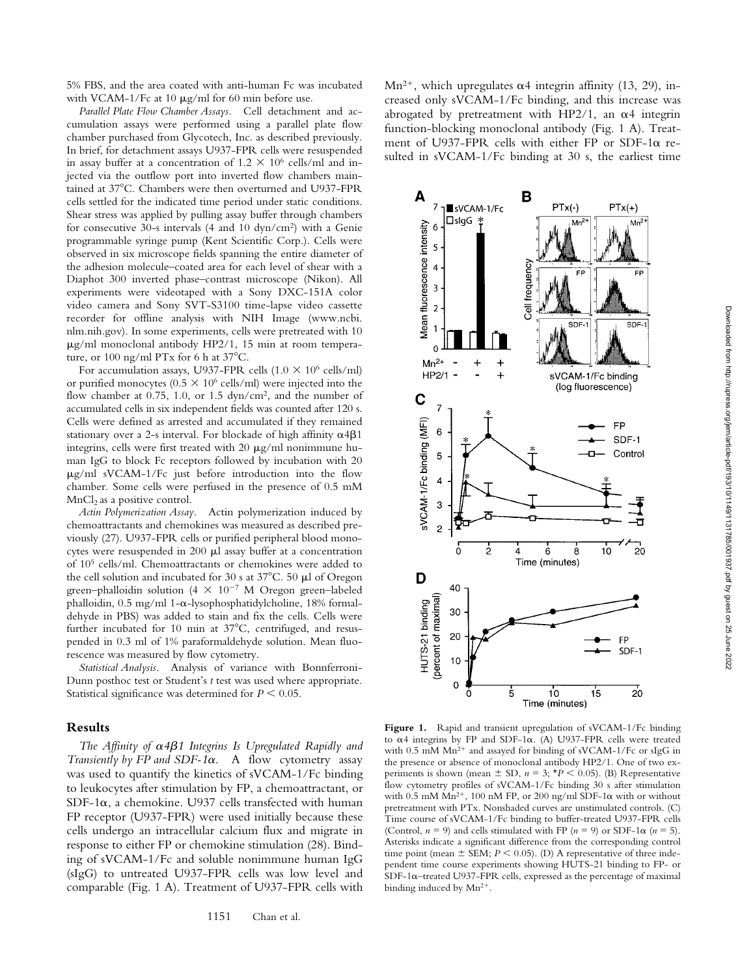5% FBS, and the area coated with anti-human Fc was incubated with VCAM-1/Fc at 10  $\mu$ g/ml for 60 min before use.

*Parallel Plate Flow Chamber Assays.* Cell detachment and accumulation assays were performed using a parallel plate flow chamber purchased from Glycotech, Inc. as described previously. In brief, for detachment assays U937-FPR cells were resuspended in assay buffer at a concentration of  $1.2 \times 10^6$  cells/ml and injected via the outflow port into inverted flow chambers maintained at 37°C. Chambers were then overturned and U937-FPR cells settled for the indicated time period under static conditions. Shear stress was applied by pulling assay buffer through chambers for consecutive 30-s intervals (4 and 10 dyn/cm2) with a Genie programmable syringe pump (Kent Scientific Corp.). Cells were observed in six microscope fields spanning the entire diameter of the adhesion molecule–coated area for each level of shear with a Diaphot 300 inverted phase–contrast microscope (Nikon). All experiments were videotaped with a Sony DXC-151A color video camera and Sony SVT-S3100 time-lapse video cassette recorder for offline analysis with NIH Image (www.ncbi. nlm.nih.gov). In some experiments, cells were pretreated with 10  $\mu$ g/ml monoclonal antibody HP2/1, 15 min at room temperature, or 100 ng/ml PTx for 6 h at  $37^{\circ}$ C.

For accumulation assays, U937-FPR cells (1.0  $\times$  10<sup>6</sup> cells/ml) or purified monocytes ( $0.5 \times 10^6$  cells/ml) were injected into the flow chamber at 0.75, 1.0, or 1.5 dyn/cm<sup>2</sup>, and the number of accumulated cells in six independent fields was counted after 120 s. Cells were defined as arrested and accumulated if they remained stationary over a 2-s interval. For blockade of high affinity  $\alpha$ 4 $\beta$ 1 integrins, cells were first treated with 20  $\mu$ g/ml nonimmune human IgG to block Fc receptors followed by incubation with 20  $\mu$ g/ml sVCAM-1/Fc just before introduction into the flow chamber. Some cells were perfused in the presence of 0.5 mM  $MnCl<sub>2</sub>$  as a positive control.

*Actin Polymerization Assay.* Actin polymerization induced by chemoattractants and chemokines was measured as described previously (27). U937-FPR cells or purified peripheral blood monocytes were resuspended in  $200 \mu l$  assay buffer at a concentration of 105 cells/ml. Chemoattractants or chemokines were added to the cell solution and incubated for 30 s at  $37^{\circ}$ C. 50 µl of Oregon green-phalloidin solution (4  $\times$  10<sup>-7</sup> M Oregon green-labeled phalloidin,  $0.5 \text{ mg/ml} 1-\alpha$ -lysophosphatidylcholine, 18% formaldehyde in PBS) was added to stain and fix the cells. Cells were further incubated for 10 min at  $37^{\circ}$ C, centrifuged, and resuspended in 0.3 ml of 1% paraformaldehyde solution. Mean fluorescence was measured by flow cytometry.

*Statistical Analysis.* Analysis of variance with Bonnferroni-Dunn posthoc test or Student's *t* test was used where appropriate. Statistical significance was determined for  $P \leq 0.05$ .

#### **Results**

*The Affinity of* a*4*b*1 Integrins Is Upregulated Rapidly and Transiently by FP and SDF-1* $\alpha$ *.* A flow cytometry assay was used to quantify the kinetics of sVCAM-1/Fc binding to leukocytes after stimulation by FP, a chemoattractant, or  $SDF-1\alpha$ , a chemokine. U937 cells transfected with human FP receptor (U937-FPR) were used initially because these cells undergo an intracellular calcium flux and migrate in response to either FP or chemokine stimulation (28). Binding of sVCAM-1/Fc and soluble nonimmune human IgG (sIgG) to untreated U937-FPR cells was low level and comparable (Fig. 1 A). Treatment of U937-FPR cells with

Mn<sup>2+</sup>, which upregulates  $\alpha$ 4 integrin affinity (13, 29), increased only sVCAM-1/Fc binding, and this increase was abrogated by pretreatment with HP2/1, an  $\alpha$ 4 integrin function-blocking monoclonal antibody (Fig. 1 A). Treatment of U937-FPR cells with either FP or SDF-1a resulted in sVCAM-1/Fc binding at 30 s, the earliest time



Figure 1. Rapid and transient upregulation of sVCAM-1/Fc binding to  $\alpha$ 4 integrins by FP and SDF-1 $\alpha$ . (A) U937-FPR cells were treated with  $0.5$  mM  $Mn^{2+}$  and assayed for binding of sVCAM-1/Fc or sIgG in the presence or absence of monoclonal antibody HP2/1. One of two experiments is shown (mean  $\pm$  SD,  $n = 3$ ;  $*P < 0.05$ ). (B) Representative flow cytometry profiles of sVCAM-1/Fc binding 30 s after stimulation with 0.5 mM Mn<sup>2+</sup>, 100 nM FP, or 200 ng/ml SDF-1 $\alpha$  with or without pretreatment with PTx. Nonshaded curves are unstimulated controls. (C) Time course of sVCAM-1/Fc binding to buffer-treated U937-FPR cells (Control,  $n = 9$ ) and cells stimulated with FP ( $n = 9$ ) or SDF-1 $\alpha$  ( $n = 5$ ). Asterisks indicate a significant difference from the corresponding control time point (mean  $\pm$  SEM;  $P < 0.05$ ). (D) A representative of three independent time course experiments showing HUTS-21 binding to FP- or  $SDF-1\alpha$ –treated U937-FPR cells, expressed as the percentage of maximal binding induced by  $Mn^{2+}$ .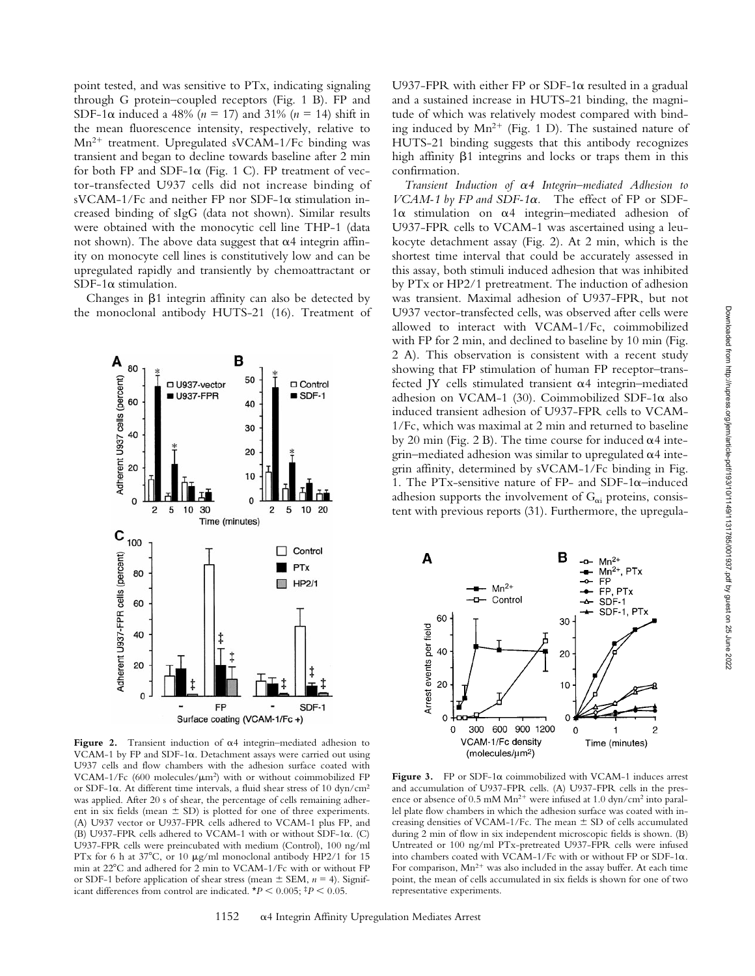point tested, and was sensitive to PTx, indicating signaling through G protein–coupled receptors (Fig. 1 B). FP and SDF-1 $\alpha$  induced a 48% ( $n = 17$ ) and 31% ( $n = 14$ ) shift in the mean fluorescence intensity, respectively, relative to  $Mn^{2+}$  treatment. Upregulated sVCAM-1/Fc binding was transient and began to decline towards baseline after 2 min for both FP and SDF-1 $\alpha$  (Fig. 1 C). FP treatment of vector-transfected U937 cells did not increase binding of sVCAM-1/Fc and neither FP nor SDF-1 $\alpha$  stimulation increased binding of sIgG (data not shown). Similar results were obtained with the monocytic cell line THP-1 (data not shown). The above data suggest that  $\alpha$ 4 integrin affinity on monocyte cell lines is constitutively low and can be upregulated rapidly and transiently by chemoattractant or SDF-1 $\alpha$  stimulation.

Changes in  $\beta$ 1 integrin affinity can also be detected by the monoclonal antibody HUTS-21 (16). Treatment of



**Figure 2.** Transient induction of a4 integrin–mediated adhesion to VCAM-1 by FP and SDF-1 $\alpha$ . Detachment assays were carried out using U937 cells and flow chambers with the adhesion surface coated with VCAM-1/Fc (600 molecules/ $\mu$ m<sup>2</sup>) with or without coimmobilized FP or SDF-1 $\alpha$ . At different time intervals, a fluid shear stress of 10 dyn/cm<sup>2</sup> was applied. After 20 s of shear, the percentage of cells remaining adherent in six fields (mean  $\pm$  SD) is plotted for one of three experiments. (A) U937 vector or U937-FPR cells adhered to VCAM-1 plus FP, and (B) U937-FPR cells adhered to VCAM-1 with or without SDF-1a. (C) U937-FPR cells were preincubated with medium (Control), 100 ng/ml PTx for 6 h at 37°C, or 10  $\mu$ g/ml monoclonal antibody HP2/1 for 15 min at 22°C and adhered for 2 min to VCAM-1/Fc with or without FP or SDF-1 before application of shear stress (mean  $\pm$  SEM,  $n = 4$ ). Significant differences from control are indicated.  $*P < 0.005$ ;  $*P < 0.05$ .

U937-FPR with either FP or SDF-1 $\alpha$  resulted in a gradual and a sustained increase in HUTS-21 binding, the magnitude of which was relatively modest compared with binding induced by  $Mn^{2+}$  (Fig. 1 D). The sustained nature of HUTS-21 binding suggests that this antibody recognizes high affinity  $\beta$ 1 integrins and locks or traps them in this confirmation.

*Transient Induction of* a*4 Integrin–mediated Adhesion to VCAM-1 by FP and SDF-1* $\alpha$ *.* The effect of FP or SDF- $1\alpha$  stimulation on  $\alpha$ 4 integrin–mediated adhesion of U937-FPR cells to VCAM-1 was ascertained using a leukocyte detachment assay (Fig. 2). At 2 min, which is the shortest time interval that could be accurately assessed in this assay, both stimuli induced adhesion that was inhibited by PTx or HP2/1 pretreatment. The induction of adhesion was transient. Maximal adhesion of U937-FPR, but not U937 vector-transfected cells, was observed after cells were allowed to interact with VCAM-1/Fc, coimmobilized with FP for 2 min, and declined to baseline by 10 min (Fig. 2 A). This observation is consistent with a recent study showing that FP stimulation of human FP receptor–transfected JY cells stimulated transient  $\alpha$ 4 integrin–mediated adhesion on VCAM-1 (30). Coimmobilized SDF-1 $\alpha$  also induced transient adhesion of U937-FPR cells to VCAM-1/Fc, which was maximal at 2 min and returned to baseline by 20 min (Fig. 2 B). The time course for induced  $\alpha$ 4 integrin–mediated adhesion was similar to upregulated  $\alpha$ 4 integrin affinity, determined by sVCAM-1/Fc binding in Fig. 1. The PTx-sensitive nature of FP- and SDF-1 $\alpha$ –induced adhesion supports the involvement of  $G_{\alpha i}$  proteins, consistent with previous reports (31). Furthermore, the upregula-



**Figure 3.** FP or SDF-1a coimmobilized with VCAM-1 induces arrest and accumulation of U937-FPR cells. (A) U937-FPR cells in the presence or absence of  $0.5 \text{ mM Mn}^{2+}$  were infused at  $1.0 \text{ dyn/cm}^2$  into parallel plate flow chambers in which the adhesion surface was coated with increasing densities of VCAM-1/Fc. The mean  $\pm$  SD of cells accumulated during 2 min of flow in six independent microscopic fields is shown. (B) Untreated or 100 ng/ml PTx-pretreated U937-FPR cells were infused into chambers coated with VCAM-1/Fc with or without FP or SDF-1 $\alpha$ . For comparison,  $Mn^{2+}$  was also included in the assay buffer. At each time point, the mean of cells accumulated in six fields is shown for one of two representative experiments.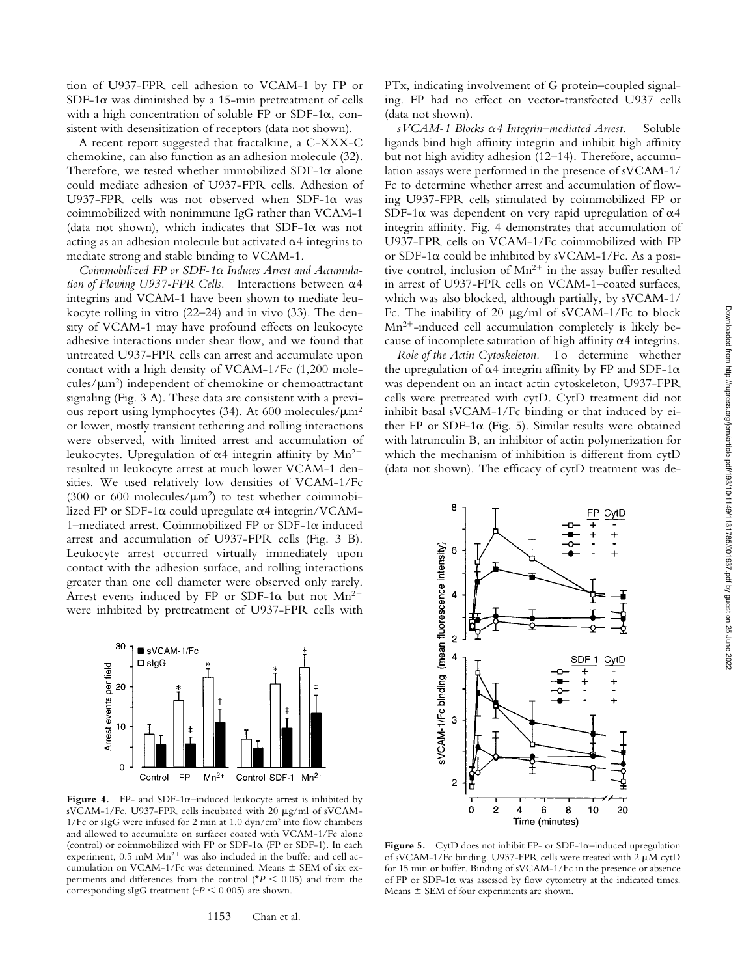tion of U937-FPR cell adhesion to VCAM-1 by FP or  $SDF-1\alpha$  was diminished by a 15-min pretreatment of cells with a high concentration of soluble FP or SDF-1 $\alpha$ , consistent with desensitization of receptors (data not shown).

A recent report suggested that fractalkine, a C-XXX-C chemokine, can also function as an adhesion molecule (32). Therefore, we tested whether immobilized SDF-1 $\alpha$  alone could mediate adhesion of U937-FPR cells. Adhesion of U937-FPR cells was not observed when SDF-1 $\alpha$  was coimmobilized with nonimmune IgG rather than VCAM-1 (data not shown), which indicates that SDF-1 $\alpha$  was not acting as an adhesion molecule but activated  $\alpha$ 4 integrins to mediate strong and stable binding to VCAM-1.

*Coimmobilized FP or SDF-1*a *Induces Arrest and Accumulation of Flowing U937-FPR Cells.* Interactions between a4 integrins and VCAM-1 have been shown to mediate leukocyte rolling in vitro (22–24) and in vivo (33). The density of VCAM-1 may have profound effects on leukocyte adhesive interactions under shear flow, and we found that untreated U937-FPR cells can arrest and accumulate upon contact with a high density of VCAM-1/Fc (1,200 molecules/ $\mu$ m<sup>2</sup>) independent of chemokine or chemoattractant signaling (Fig. 3 A). These data are consistent with a previous report using lymphocytes (34). At 600 molecules/ $\mu$ m<sup>2</sup> or lower, mostly transient tethering and rolling interactions were observed, with limited arrest and accumulation of leukocytes. Upregulation of  $\alpha$ 4 integrin affinity by Mn<sup>2+</sup> resulted in leukocyte arrest at much lower VCAM-1 densities. We used relatively low densities of VCAM-1/Fc (300 or 600 molecules/ $\mu$ m<sup>2</sup>) to test whether coimmobilized FP or SDF-1 $\alpha$  could upregulate  $\alpha$ 4 integrin/VCAM-1–mediated arrest. Coimmobilized FP or SDF-1 $\alpha$  induced arrest and accumulation of U937-FPR cells (Fig. 3 B). Leukocyte arrest occurred virtually immediately upon contact with the adhesion surface, and rolling interactions greater than one cell diameter were observed only rarely. Arrest events induced by FP or SDF-1 $\alpha$  but not Mn<sup>2+</sup> were inhibited by pretreatment of U937-FPR cells with



**Figure 4.** FP- and SDF-1a–induced leukocyte arrest is inhibited by sVCAM-1/Fc. U937-FPR cells incubated with 20 µg/ml of sVCAM-1/Fc or sIgG were infused for 2 min at 1.0 dyn/cm2 into flow chambers and allowed to accumulate on surfaces coated with VCAM-1/Fc alone (control) or coimmobilized with FP or SDF-1 $\alpha$  (FP or SDF-1). In each experiment,  $0.5$  mM  $Mn^{2+}$  was also included in the buffer and cell accumulation on VCAM-1/Fc was determined. Means  $\pm$  SEM of six experiments and differences from the control ( $*P < 0.05$ ) and from the corresponding sIgG treatment ( $P < 0.005$ ) are shown.

1153 Chan et al.

PTx, indicating involvement of G protein–coupled signaling. FP had no effect on vector-transfected U937 cells (data not shown).

*sVCAM-1 Blocks* a*4 Integrin–mediated Arrest.* Soluble ligands bind high affinity integrin and inhibit high affinity but not high avidity adhesion (12–14). Therefore, accumulation assays were performed in the presence of sVCAM-1/ Fc to determine whether arrest and accumulation of flowing U937-FPR cells stimulated by coimmobilized FP or SDF-1 $\alpha$  was dependent on very rapid upregulation of  $\alpha$ 4 integrin affinity. Fig. 4 demonstrates that accumulation of U937-FPR cells on VCAM-1/Fc coimmobilized with FP or SDF-1 $\alpha$  could be inhibited by sVCAM-1/Fc. As a positive control, inclusion of  $Mn^{2+}$  in the assay buffer resulted in arrest of U937-FPR cells on VCAM-1–coated surfaces, which was also blocked, although partially, by sVCAM-1/ Fc. The inability of 20  $\mu$ g/ml of sVCAM-1/Fc to block  $Mn^{2+}$ -induced cell accumulation completely is likely because of incomplete saturation of high affinity  $\alpha$ 4 integrins.

*Role of the Actin Cytoskeleton.* To determine whether the upregulation of  $\alpha$ 4 integrin affinity by FP and SDF-1 $\alpha$ was dependent on an intact actin cytoskeleton, U937-FPR cells were pretreated with cytD. CytD treatment did not inhibit basal sVCAM-1/Fc binding or that induced by either FP or SDF-1 $\alpha$  (Fig. 5). Similar results were obtained with latrunculin B, an inhibitor of actin polymerization for which the mechanism of inhibition is different from cytD (data not shown). The efficacy of cytD treatment was de-



**Figure 5.** CytD does not inhibit FP- or SDF-1 $\alpha$ –induced upregulation of sVCAM-1/Fc binding. U937-FPR cells were treated with  $2 \mu M$  cytD for 15 min or buffer. Binding of sVCAM-1/Fc in the presence or absence of FP or SDF-1 $\alpha$  was assessed by flow cytometry at the indicated times. Means  $\pm$  SEM of four experiments are shown.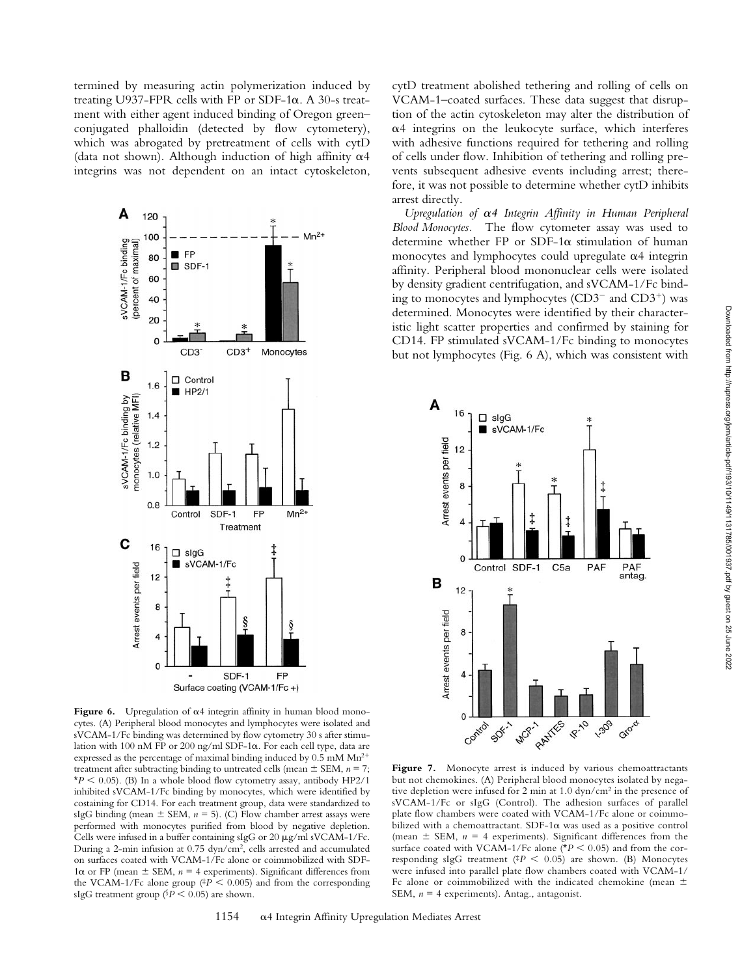termined by measuring actin polymerization induced by treating U937-FPR cells with FP or SDF-1 $\alpha$ . A 30-s treatment with either agent induced binding of Oregon green– conjugated phalloidin (detected by flow cytometery), which was abrogated by pretreatment of cells with cytD (data not shown). Although induction of high affinity  $\alpha$ 4 integrins was not dependent on an intact cytoskeleton,



Figure 6. Upregulation of  $\alpha$ 4 integrin affinity in human blood monocytes. (A) Peripheral blood monocytes and lymphocytes were isolated and sVCAM-1/Fc binding was determined by flow cytometry 30 s after stimulation with 100 nM FP or 200 ng/ml SDF-1a. For each cell type, data are expressed as the percentage of maximal binding induced by  $0.5 \text{ mM Mn}^{2+}$ treatment after subtracting binding to untreated cells (mean  $\pm$  SEM,  $n = 7$ ;  $*P < 0.05$ ). (B) In a whole blood flow cytometry assay, antibody HP2/1 inhibited sVCAM-1/Fc binding by monocytes, which were identified by costaining for CD14. For each treatment group, data were standardized to sIgG binding (mean  $\pm$  SEM,  $n = 5$ ). (C) Flow chamber arrest assays were performed with monocytes purified from blood by negative depletion. Cells were infused in a buffer containing sIgG or 20  $\mu$ g/ml sVCAM-1/Fc. During a 2-min infusion at 0.75 dyn/cm2, cells arrested and accumulated on surfaces coated with VCAM-1/Fc alone or coimmobilized with SDF- $1\alpha$  or FP (mean  $\pm$  SEM,  $n = 4$  experiments). Significant differences from the VCAM-1/Fc alone group ( $P < 0.005$ ) and from the corresponding sIgG treatment group ( $P < 0.05$ ) are shown.

cytD treatment abolished tethering and rolling of cells on VCAM-1–coated surfaces. These data suggest that disruption of the actin cytoskeleton may alter the distribution of  $\alpha$ 4 integrins on the leukocyte surface, which interferes with adhesive functions required for tethering and rolling of cells under flow. Inhibition of tethering and rolling prevents subsequent adhesive events including arrest; therefore, it was not possible to determine whether cytD inhibits arrest directly.

*Upregulation of* a*4 Integrin Affinity in Human Peripheral Blood Monocytes.* The flow cytometer assay was used to determine whether FP or SDF-1 $\alpha$  stimulation of human monocytes and lymphocytes could upregulate  $\alpha$ 4 integrin affinity. Peripheral blood mononuclear cells were isolated by density gradient centrifugation, and sVCAM-1/Fc binding to monocytes and lymphocytes  $(CD3<sup>-</sup>$  and  $CD3<sup>+</sup>$ ) was determined. Monocytes were identified by their characteristic light scatter properties and confirmed by staining for CD14. FP stimulated sVCAM-1/Fc binding to monocytes but not lymphocytes (Fig. 6 A), which was consistent with



Figure 7. Monocyte arrest is induced by various chemoattractants but not chemokines. (A) Peripheral blood monocytes isolated by negative depletion were infused for 2 min at 1.0 dyn/cm2 in the presence of sVCAM-1/Fc or sIgG (Control). The adhesion surfaces of parallel plate flow chambers were coated with VCAM-1/Fc alone or coimmobilized with a chemoattractant.  $SDF-1\alpha$  was used as a positive control (mean  $\pm$  SEM,  $n = 4$  experiments). Significant differences from the surface coated with VCAM-1/Fc alone ( $*P < 0.05$ ) and from the corresponding sIgG treatment ( $\frac{4P}{ } < 0.05$ ) are shown. (B) Monocytes were infused into parallel plate flow chambers coated with VCAM-1/ Fc alone or coimmobilized with the indicated chemokine (mean  $\pm$ SEM,  $n = 4$  experiments). Antag., antagonist.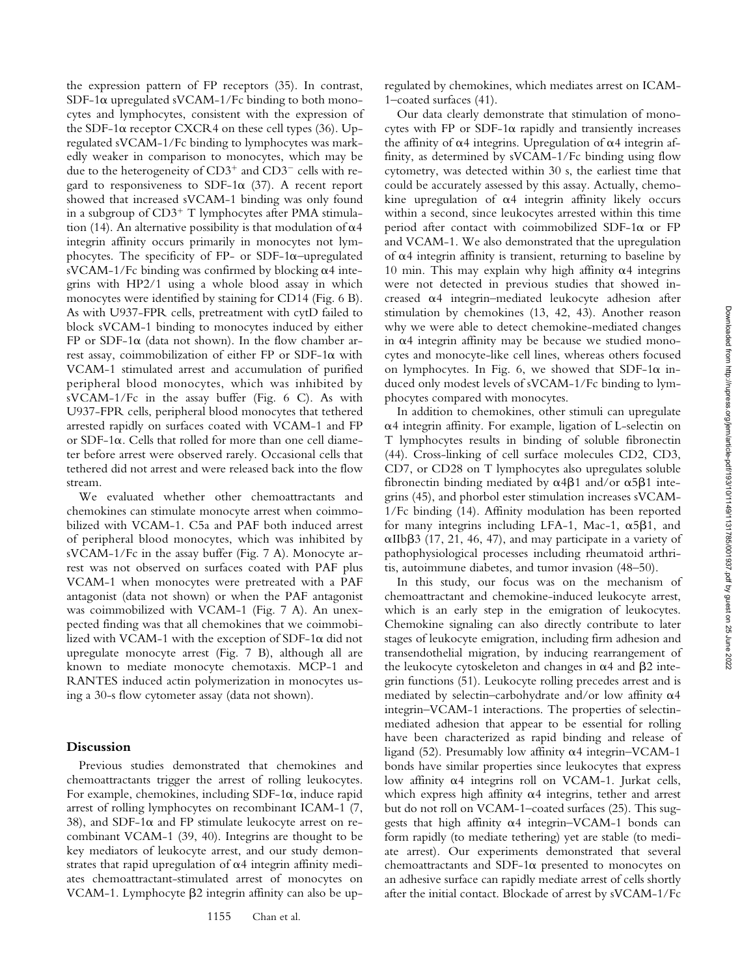the expression pattern of FP receptors (35). In contrast, SDF-1 $\alpha$  upregulated sVCAM-1/Fc binding to both monocytes and lymphocytes, consistent with the expression of the SDF-1 $\alpha$  receptor CXCR4 on these cell types (36). Upregulated sVCAM-1/Fc binding to lymphocytes was markedly weaker in comparison to monocytes, which may be due to the heterogeneity of  $CD3^+$  and  $CD3^-$  cells with regard to responsiveness to SDF-1 $\alpha$  (37). A recent report showed that increased sVCAM-1 binding was only found in a subgroup of  $CD3^+$  T lymphocytes after PMA stimulation (14). An alternative possibility is that modulation of  $\alpha$ 4 integrin affinity occurs primarily in monocytes not lymphocytes. The specificity of FP- or SDF-1 $\alpha$ -upregulated sVCAM-1/Fc binding was confirmed by blocking  $\alpha$ 4 integrins with HP2/1 using a whole blood assay in which monocytes were identified by staining for CD14 (Fig. 6 B). As with U937-FPR cells, pretreatment with cytD failed to block sVCAM-1 binding to monocytes induced by either FP or SDF-1 $\alpha$  (data not shown). In the flow chamber arrest assay, coimmobilization of either FP or SDF-1a with VCAM-1 stimulated arrest and accumulation of purified peripheral blood monocytes, which was inhibited by sVCAM-1/Fc in the assay buffer (Fig. 6 C). As with U937-FPR cells, peripheral blood monocytes that tethered arrested rapidly on surfaces coated with VCAM-1 and FP or SDF-1 $\alpha$ . Cells that rolled for more than one cell diameter before arrest were observed rarely. Occasional cells that tethered did not arrest and were released back into the flow stream.

We evaluated whether other chemoattractants and chemokines can stimulate monocyte arrest when coimmobilized with VCAM-1. C5a and PAF both induced arrest of peripheral blood monocytes, which was inhibited by sVCAM-1/Fc in the assay buffer (Fig. 7 A). Monocyte arrest was not observed on surfaces coated with PAF plus VCAM-1 when monocytes were pretreated with a PAF antagonist (data not shown) or when the PAF antagonist was coimmobilized with VCAM-1 (Fig. 7 A). An unexpected finding was that all chemokines that we coimmobilized with VCAM-1 with the exception of SDF-1 $\alpha$  did not upregulate monocyte arrest (Fig. 7 B), although all are known to mediate monocyte chemotaxis. MCP-1 and RANTES induced actin polymerization in monocytes using a 30-s flow cytometer assay (data not shown).

#### **Discussion**

Previous studies demonstrated that chemokines and chemoattractants trigger the arrest of rolling leukocytes. For example, chemokines, including  $SDF-1\alpha$ , induce rapid arrest of rolling lymphocytes on recombinant ICAM-1 (7, 38), and SDF-1 $\alpha$  and FP stimulate leukocyte arrest on recombinant VCAM-1 (39, 40). Integrins are thought to be key mediators of leukocyte arrest, and our study demonstrates that rapid upregulation of  $\alpha$ 4 integrin affinity mediates chemoattractant-stimulated arrest of monocytes on VCAM-1. Lymphocyte  $\beta$ 2 integrin affinity can also be upregulated by chemokines, which mediates arrest on ICAM-1–coated surfaces (41).

Our data clearly demonstrate that stimulation of monocytes with FP or SDF-1 $\alpha$  rapidly and transiently increases the affinity of  $\alpha$ 4 integrins. Upregulation of  $\alpha$ 4 integrin affinity, as determined by sVCAM-1/Fc binding using flow cytometry, was detected within 30 s, the earliest time that could be accurately assessed by this assay. Actually, chemokine upregulation of  $\alpha$ 4 integrin affinity likely occurs within a second, since leukocytes arrested within this time period after contact with coimmobilized SDF-1 $\alpha$  or FP and VCAM-1. We also demonstrated that the upregulation of  $\alpha$ 4 integrin affinity is transient, returning to baseline by 10 min. This may explain why high affinity  $\alpha$ 4 integrins were not detected in previous studies that showed increased  $\alpha$ 4 integrin–mediated leukocyte adhesion after stimulation by chemokines (13, 42, 43). Another reason why we were able to detect chemokine-mediated changes in  $\alpha$ 4 integrin affinity may be because we studied monocytes and monocyte-like cell lines, whereas others focused on lymphocytes. In Fig. 6, we showed that SDF-1 $\alpha$  induced only modest levels of sVCAM-1/Fc binding to lymphocytes compared with monocytes.

In addition to chemokines, other stimuli can upregulate  $\alpha$ 4 integrin affinity. For example, ligation of L-selectin on T lymphocytes results in binding of soluble fibronectin (44). Cross-linking of cell surface molecules CD2, CD3, CD7, or CD28 on T lymphocytes also upregulates soluble fibronectin binding mediated by  $\alpha$ 4 $\beta$ 1 and/or  $\alpha$ 5 $\beta$ 1 integrins (45), and phorbol ester stimulation increases sVCAM-1/Fc binding (14). Affinity modulation has been reported for many integrins including LFA-1, Mac-1,  $\alpha$ 5 $\beta$ 1, and  $\alpha$ IIb $\beta$ 3 (17, 21, 46, 47), and may participate in a variety of pathophysiological processes including rheumatoid arthritis, autoimmune diabetes, and tumor invasion (48–50).

In this study, our focus was on the mechanism of chemoattractant and chemokine-induced leukocyte arrest, which is an early step in the emigration of leukocytes. Chemokine signaling can also directly contribute to later stages of leukocyte emigration, including firm adhesion and transendothelial migration, by inducing rearrangement of the leukocyte cytoskeleton and changes in  $\alpha$ 4 and  $\beta$ 2 integrin functions (51). Leukocyte rolling precedes arrest and is mediated by selectin–carbohydrate and/or low affinity  $\alpha$ 4 integrin–VCAM-1 interactions. The properties of selectinmediated adhesion that appear to be essential for rolling have been characterized as rapid binding and release of ligand (52). Presumably low affinity  $\alpha$ 4 integrin–VCAM-1 bonds have similar properties since leukocytes that express low affinity a4 integrins roll on VCAM-1. Jurkat cells, which express high affinity  $\alpha$ 4 integrins, tether and arrest but do not roll on VCAM-1–coated surfaces (25). This suggests that high affinity  $\alpha$ 4 integrin–VCAM-1 bonds can form rapidly (to mediate tethering) yet are stable (to mediate arrest). Our experiments demonstrated that several chemoattractants and SDF-1a presented to monocytes on an adhesive surface can rapidly mediate arrest of cells shortly after the initial contact. Blockade of arrest by sVCAM-1/Fc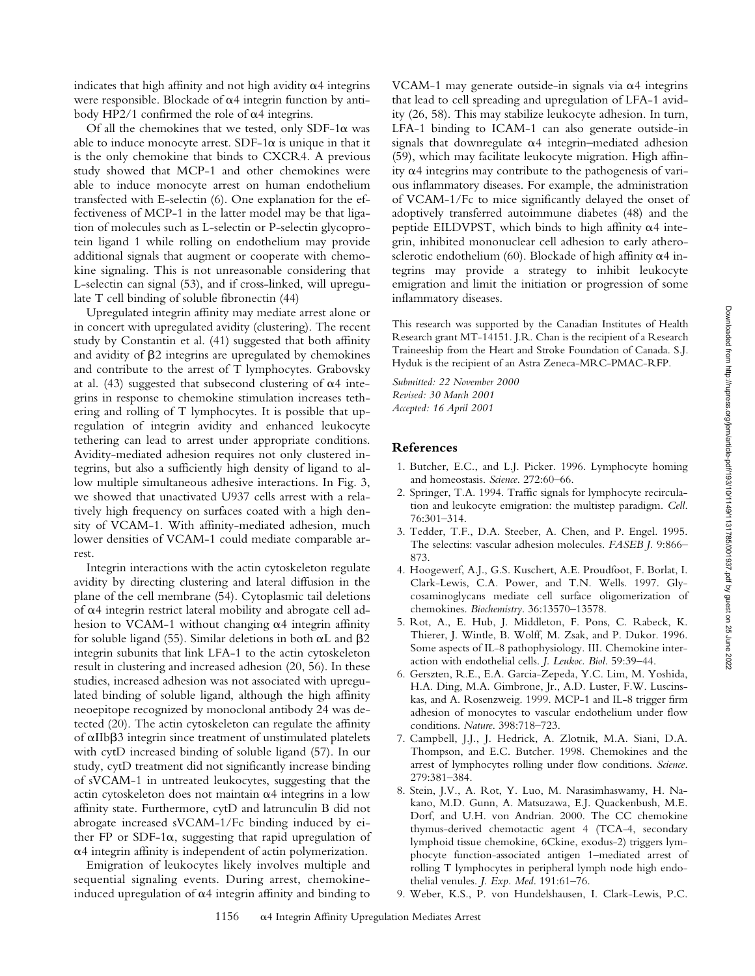Downloaded from http://rupress.org/jem/article-pdf/193/10/1149/1131785/001937.pdf by guest on 25 June 2022 Downloaded from http://rupress.org/jem/article-pdf/193/10/1149/1131785/001937.pdf by guest on 25 June 2022

indicates that high affinity and not high avidity  $\alpha$ 4 integrins were responsible. Blockade of  $\alpha$ 4 integrin function by antibody HP2/1 confirmed the role of  $\alpha$ 4 integrins.

Of all the chemokines that we tested, only SDF-1 $\alpha$  was able to induce monocyte arrest.  $SDF-1\alpha$  is unique in that it is the only chemokine that binds to CXCR4. A previous study showed that MCP-1 and other chemokines were able to induce monocyte arrest on human endothelium transfected with E-selectin (6). One explanation for the effectiveness of MCP-1 in the latter model may be that ligation of molecules such as L-selectin or P-selectin glycoprotein ligand 1 while rolling on endothelium may provide additional signals that augment or cooperate with chemokine signaling. This is not unreasonable considering that L-selectin can signal (53), and if cross-linked, will upregulate T cell binding of soluble fibronectin (44)

Upregulated integrin affinity may mediate arrest alone or in concert with upregulated avidity (clustering). The recent study by Constantin et al. (41) suggested that both affinity and avidity of  $\beta$ 2 integrins are upregulated by chemokines and contribute to the arrest of T lymphocytes. Grabovsky at al. (43) suggested that subsecond clustering of  $\alpha$ 4 integrins in response to chemokine stimulation increases tethering and rolling of T lymphocytes. It is possible that upregulation of integrin avidity and enhanced leukocyte tethering can lead to arrest under appropriate conditions. Avidity-mediated adhesion requires not only clustered integrins, but also a sufficiently high density of ligand to allow multiple simultaneous adhesive interactions. In Fig. 3, we showed that unactivated U937 cells arrest with a relatively high frequency on surfaces coated with a high density of VCAM-1. With affinity-mediated adhesion, much lower densities of VCAM-1 could mediate comparable arrest.

Integrin interactions with the actin cytoskeleton regulate avidity by directing clustering and lateral diffusion in the plane of the cell membrane (54). Cytoplasmic tail deletions of  $\alpha$ 4 integrin restrict lateral mobility and abrogate cell adhesion to VCAM-1 without changing  $\alpha$ 4 integrin affinity for soluble ligand (55). Similar deletions in both  $\alpha$ L and  $\beta$ 2 integrin subunits that link LFA-1 to the actin cytoskeleton result in clustering and increased adhesion (20, 56). In these studies, increased adhesion was not associated with upregulated binding of soluble ligand, although the high affinity neoepitope recognized by monoclonal antibody 24 was detected (20). The actin cytoskeleton can regulate the affinity of  $\alpha$ IIb $\beta$ 3 integrin since treatment of unstimulated platelets with cytD increased binding of soluble ligand (57). In our study, cytD treatment did not significantly increase binding of sVCAM-1 in untreated leukocytes, suggesting that the actin cytoskeleton does not maintain  $\alpha$ 4 integrins in a low affinity state. Furthermore, cytD and latrunculin B did not abrogate increased sVCAM-1/Fc binding induced by either FP or SDF-1 $\alpha$ , suggesting that rapid upregulation of  $\alpha$ 4 integrin affinity is independent of actin polymerization.

Emigration of leukocytes likely involves multiple and sequential signaling events. During arrest, chemokineinduced upregulation of  $\alpha$ 4 integrin affinity and binding to

VCAM-1 may generate outside-in signals via  $\alpha$ 4 integrins that lead to cell spreading and upregulation of LFA-1 avidity (26, 58). This may stabilize leukocyte adhesion. In turn, LFA-1 binding to ICAM-1 can also generate outside-in signals that downregulate  $\alpha$ 4 integrin–mediated adhesion (59), which may facilitate leukocyte migration. High affinity  $\alpha$ 4 integrins may contribute to the pathogenesis of various inflammatory diseases. For example, the administration of VCAM-1/Fc to mice significantly delayed the onset of adoptively transferred autoimmune diabetes (48) and the peptide EILDVPST, which binds to high affinity  $\alpha$ 4 integrin, inhibited mononuclear cell adhesion to early atherosclerotic endothelium (60). Blockade of high affinity  $\alpha$ 4 integrins may provide a strategy to inhibit leukocyte emigration and limit the initiation or progression of some inflammatory diseases.

This research was supported by the Canadian Institutes of Health Research grant MT-14151. J.R. Chan is the recipient of a Research Traineeship from the Heart and Stroke Foundation of Canada. S.J. Hyduk is the recipient of an Astra Zeneca-MRC-PMAC-RFP.

*Submitted: 22 November 2000 Revised: 30 March 2001 Accepted: 16 April 2001*

## **References**

- 1. Butcher, E.C., and L.J. Picker. 1996. Lymphocyte homing and homeostasis. *Science*. 272:60–66.
- 2. Springer, T.A. 1994. Traffic signals for lymphocyte recirculation and leukocyte emigration: the multistep paradigm. *Cell*. 76:301–314.
- 3. Tedder, T.F., D.A. Steeber, A. Chen, and P. Engel. 1995. The selectins: vascular adhesion molecules. *FASEB J.* 9:866– 873.
- 4. Hoogewerf, A.J., G.S. Kuschert, A.E. Proudfoot, F. Borlat, I. Clark-Lewis, C.A. Power, and T.N. Wells. 1997. Glycosaminoglycans mediate cell surface oligomerization of chemokines. *Biochemistry*. 36:13570–13578.
- 5. Rot, A., E. Hub, J. Middleton, F. Pons, C. Rabeck, K. Thierer, J. Wintle, B. Wolff, M. Zsak, and P. Dukor. 1996. Some aspects of IL-8 pathophysiology. III. Chemokine interaction with endothelial cells. *J. Leukoc. Biol*. 59:39–44.
- 6. Gerszten, R.E., E.A. Garcia-Zepeda, Y.C. Lim, M. Yoshida, H.A. Ding, M.A. Gimbrone, Jr., A.D. Luster, F.W. Luscinskas, and A. Rosenzweig. 1999. MCP-1 and IL-8 trigger firm adhesion of monocytes to vascular endothelium under flow conditions. *Nature*. 398:718–723.
- 7. Campbell, J.J., J. Hedrick, A. Zlotnik, M.A. Siani, D.A. Thompson, and E.C. Butcher. 1998. Chemokines and the arrest of lymphocytes rolling under flow conditions. *Science*. 279:381–384.
- 8. Stein, J.V., A. Rot, Y. Luo, M. Narasimhaswamy, H. Nakano, M.D. Gunn, A. Matsuzawa, E.J. Quackenbush, M.E. Dorf, and U.H. von Andrian. 2000. The CC chemokine thymus-derived chemotactic agent 4 (TCA-4, secondary lymphoid tissue chemokine, 6Ckine, exodus-2) triggers lymphocyte function-associated antigen 1–mediated arrest of rolling T lymphocytes in peripheral lymph node high endothelial venules. *J. Exp. Med*. 191:61–76.
- 9. Weber, K.S., P. von Hundelshausen, I. Clark-Lewis, P.C.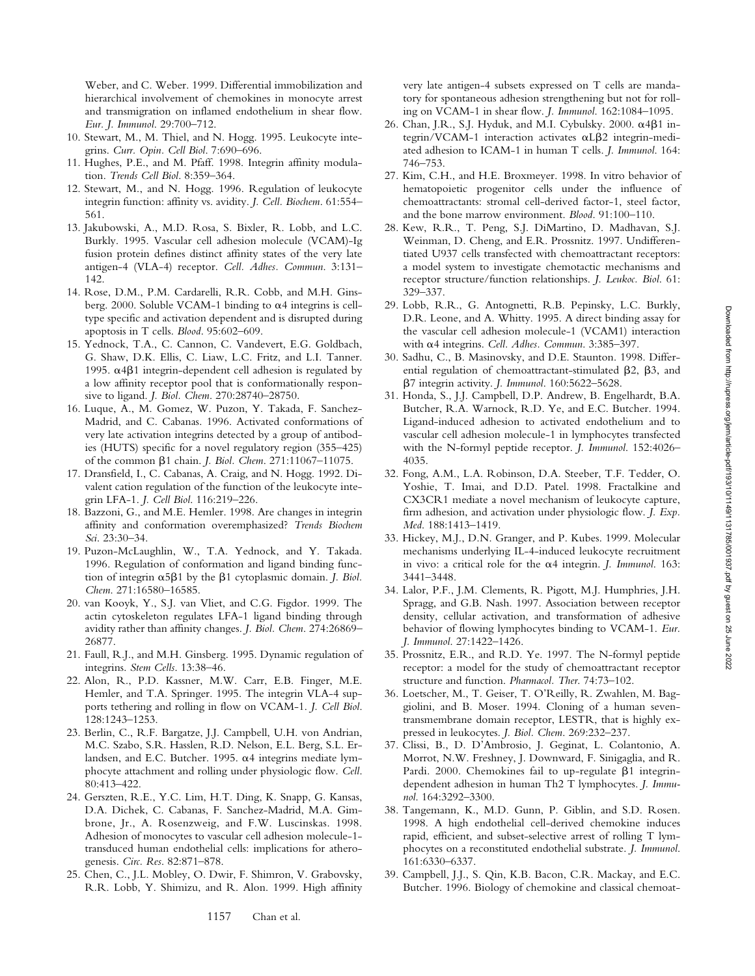Weber, and C. Weber. 1999. Differential immobilization and hierarchical involvement of chemokines in monocyte arrest and transmigration on inflamed endothelium in shear flow. *Eur. J. Immunol*. 29:700–712.

- 10. Stewart, M., M. Thiel, and N. Hogg. 1995. Leukocyte integrins. *Curr. Opin. Cell Biol*. 7:690–696.
- 11. Hughes, P.E., and M. Pfaff. 1998. Integrin affinity modulation. *Trends Cell Biol*. 8:359–364.
- 12. Stewart, M., and N. Hogg. 1996. Regulation of leukocyte integrin function: affinity vs. avidity. *J. Cell. Biochem*. 61:554– 561.
- 13. Jakubowski, A., M.D. Rosa, S. Bixler, R. Lobb, and L.C. Burkly. 1995. Vascular cell adhesion molecule (VCAM)-Ig fusion protein defines distinct affinity states of the very late antigen-4 (VLA-4) receptor. *Cell. Adhes. Commun*. 3:131– 142.
- 14. Rose, D.M., P.M. Cardarelli, R.R. Cobb, and M.H. Ginsberg. 2000. Soluble VCAM-1 binding to  $\alpha$ 4 integrins is celltype specific and activation dependent and is disrupted during apoptosis in T cells. *Blood*. 95:602–609.
- 15. Yednock, T.A., C. Cannon, C. Vandevert, E.G. Goldbach, G. Shaw, D.K. Ellis, C. Liaw, L.C. Fritz, and L.I. Tanner. 1995.  $α4β1$  integrin-dependent cell adhesion is regulated by a low affinity receptor pool that is conformationally responsive to ligand. *J. Biol. Chem*. 270:28740–28750.
- 16. Luque, A., M. Gomez, W. Puzon, Y. Takada, F. Sanchez-Madrid, and C. Cabanas. 1996. Activated conformations of very late activation integrins detected by a group of antibodies (HUTS) specific for a novel regulatory region (355–425) of the common b1 chain. *J. Biol. Chem*. 271:11067–11075.
- 17. Dransfield, I., C. Cabanas, A. Craig, and N. Hogg. 1992. Divalent cation regulation of the function of the leukocyte integrin LFA-1. *J. Cell Biol*. 116:219–226.
- 18. Bazzoni, G., and M.E. Hemler. 1998. Are changes in integrin affinity and conformation overemphasized? *Trends Biochem Sci*. 23:30–34.
- 19. Puzon-McLaughlin, W., T.A. Yednock, and Y. Takada. 1996. Regulation of conformation and ligand binding function of integrin  $\alpha$ 5 $\beta$ 1 by the  $\beta$ 1 cytoplasmic domain. *J. Biol. Chem*. 271:16580–16585.
- 20. van Kooyk, Y., S.J. van Vliet, and C.G. Figdor. 1999. The actin cytoskeleton regulates LFA-1 ligand binding through avidity rather than affinity changes. *J. Biol. Chem*. 274:26869– 26877.
- 21. Faull, R.J., and M.H. Ginsberg. 1995. Dynamic regulation of integrins. *Stem Cells*. 13:38–46.
- 22. Alon, R., P.D. Kassner, M.W. Carr, E.B. Finger, M.E. Hemler, and T.A. Springer. 1995. The integrin VLA-4 supports tethering and rolling in flow on VCAM-1. *J. Cell Biol*. 128:1243–1253.
- 23. Berlin, C., R.F. Bargatze, J.J. Campbell, U.H. von Andrian, M.C. Szabo, S.R. Hasslen, R.D. Nelson, E.L. Berg, S.L. Erlandsen, and E.C. Butcher. 1995.  $\alpha$ 4 integrins mediate lymphocyte attachment and rolling under physiologic flow. *Cell*. 80:413–422.
- 24. Gerszten, R.E., Y.C. Lim, H.T. Ding, K. Snapp, G. Kansas, D.A. Dichek, C. Cabanas, F. Sanchez-Madrid, M.A. Gimbrone, Jr., A. Rosenzweig, and F.W. Luscinskas. 1998. Adhesion of monocytes to vascular cell adhesion molecule-1 transduced human endothelial cells: implications for atherogenesis. *Circ. Res*. 82:871–878.
- 25. Chen, C., J.L. Mobley, O. Dwir, F. Shimron, V. Grabovsky, R.R. Lobb, Y. Shimizu, and R. Alon. 1999. High affinity

very late antigen-4 subsets expressed on T cells are mandatory for spontaneous adhesion strengthening but not for rolling on VCAM-1 in shear flow. *J. Immunol*. 162:1084–1095.

- 26. Chan, J.R., S.J. Hyduk, and M.I. Cybulsky.  $2000$ .  $\alpha$ 4 $\beta$ 1 integrin/VCAM-1 interaction activates  $\alpha L\beta$ 2 integrin-mediated adhesion to ICAM-1 in human T cells. *J. Immunol*. 164: 746–753.
- 27. Kim, C.H., and H.E. Broxmeyer. 1998. In vitro behavior of hematopoietic progenitor cells under the influence of chemoattractants: stromal cell-derived factor-1, steel factor, and the bone marrow environment. *Blood*. 91:100–110.
- 28. Kew, R.R., T. Peng, S.J. DiMartino, D. Madhavan, S.J. Weinman, D. Cheng, and E.R. Prossnitz. 1997. Undifferentiated U937 cells transfected with chemoattractant receptors: a model system to investigate chemotactic mechanisms and receptor structure/function relationships. *J. Leukoc. Biol*. 61: 329–337.
- 29. Lobb, R.R., G. Antognetti, R.B. Pepinsky, L.C. Burkly, D.R. Leone, and A. Whitty. 1995. A direct binding assay for the vascular cell adhesion molecule-1 (VCAM1) interaction with a4 integrins. *Cell. Adhes. Commun*. 3:385–397.
- 30. Sadhu, C., B. Masinovsky, and D.E. Staunton. 1998. Differential regulation of chemoattractant-stimulated  $\beta$ 2,  $\beta$ 3, and b7 integrin activity. *J. Immunol*. 160:5622–5628.
- 31. Honda, S., J.J. Campbell, D.P. Andrew, B. Engelhardt, B.A. Butcher, R.A. Warnock, R.D. Ye, and E.C. Butcher. 1994. Ligand-induced adhesion to activated endothelium and to vascular cell adhesion molecule-1 in lymphocytes transfected with the N-formyl peptide receptor. *J. Immunol*. 152:4026– 4035.
- 32. Fong, A.M., L.A. Robinson, D.A. Steeber, T.F. Tedder, O. Yoshie, T. Imai, and D.D. Patel. 1998. Fractalkine and CX3CR1 mediate a novel mechanism of leukocyte capture, firm adhesion, and activation under physiologic flow. *J. Exp. Med*. 188:1413–1419.
- 33. Hickey, M.J., D.N. Granger, and P. Kubes. 1999. Molecular mechanisms underlying IL-4-induced leukocyte recruitment in vivo: a critical role for the a4 integrin. *J. Immunol*. 163: 3441–3448.
- 34. Lalor, P.F., J.M. Clements, R. Pigott, M.J. Humphries, J.H. Spragg, and G.B. Nash. 1997. Association between receptor density, cellular activation, and transformation of adhesive behavior of flowing lymphocytes binding to VCAM-1. *Eur. J. Immunol*. 27:1422–1426.
- 35. Prossnitz, E.R., and R.D. Ye. 1997. The N-formyl peptide receptor: a model for the study of chemoattractant receptor structure and function. *Pharmacol. Ther*. 74:73–102.
- 36. Loetscher, M., T. Geiser, T. O'Reilly, R. Zwahlen, M. Baggiolini, and B. Moser. 1994. Cloning of a human seventransmembrane domain receptor, LESTR, that is highly expressed in leukocytes. *J. Biol. Chem*. 269:232–237.
- 37. Clissi, B., D. D'Ambrosio, J. Geginat, L. Colantonio, A. Morrot, N.W. Freshney, J. Downward, F. Sinigaglia, and R. Pardi. 2000. Chemokines fail to up-regulate  $\beta$ 1 integrindependent adhesion in human Th2 T lymphocytes. *J. Immunol*. 164:3292–3300.
- 38. Tangemann, K., M.D. Gunn, P. Giblin, and S.D. Rosen. 1998. A high endothelial cell-derived chemokine induces rapid, efficient, and subset-selective arrest of rolling T lymphocytes on a reconstituted endothelial substrate. *J. Immunol*. 161:6330–6337.
- 39. Campbell, J.J., S. Qin, K.B. Bacon, C.R. Mackay, and E.C. Butcher. 1996. Biology of chemokine and classical chemoat-